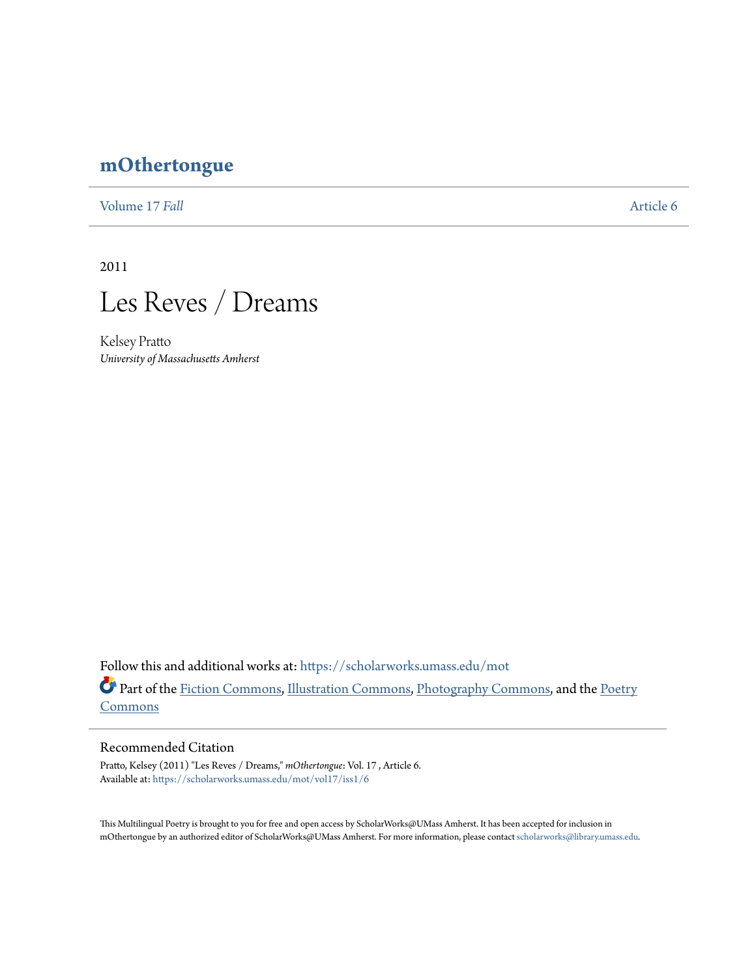## **[mOthertongue](https://scholarworks.umass.edu/mot?utm_source=scholarworks.umass.edu%2Fmot%2Fvol17%2Fiss1%2F6&utm_medium=PDF&utm_campaign=PDFCoverPages)**

[Volume 17](https://scholarworks.umass.edu/mot/vol17?utm_source=scholarworks.umass.edu%2Fmot%2Fvol17%2Fiss1%2F6&utm_medium=PDF&utm_campaign=PDFCoverPages) *Fall* [Article 6](https://scholarworks.umass.edu/mot/vol17/iss1/6?utm_source=scholarworks.umass.edu%2Fmot%2Fvol17%2Fiss1%2F6&utm_medium=PDF&utm_campaign=PDFCoverPages)

2011



Kelsey Pratto *University of Massachusetts Amherst*

Follow this and additional works at: [https://scholarworks.umass.edu/mot](https://scholarworks.umass.edu/mot?utm_source=scholarworks.umass.edu%2Fmot%2Fvol17%2Fiss1%2F6&utm_medium=PDF&utm_campaign=PDFCoverPages) Part of the [Fiction Commons](http://network.bepress.com/hgg/discipline/1151?utm_source=scholarworks.umass.edu%2Fmot%2Fvol17%2Fiss1%2F6&utm_medium=PDF&utm_campaign=PDFCoverPages), [Illustration Commons,](http://network.bepress.com/hgg/discipline/1135?utm_source=scholarworks.umass.edu%2Fmot%2Fvol17%2Fiss1%2F6&utm_medium=PDF&utm_campaign=PDFCoverPages) [Photography Commons,](http://network.bepress.com/hgg/discipline/1142?utm_source=scholarworks.umass.edu%2Fmot%2Fvol17%2Fiss1%2F6&utm_medium=PDF&utm_campaign=PDFCoverPages) and the [Poetry](http://network.bepress.com/hgg/discipline/1153?utm_source=scholarworks.umass.edu%2Fmot%2Fvol17%2Fiss1%2F6&utm_medium=PDF&utm_campaign=PDFCoverPages) [Commons](http://network.bepress.com/hgg/discipline/1153?utm_source=scholarworks.umass.edu%2Fmot%2Fvol17%2Fiss1%2F6&utm_medium=PDF&utm_campaign=PDFCoverPages)

## Recommended Citation

Pratto, Kelsey (2011) "Les Reves / Dreams," *mOthertongue*: Vol. 17 , Article 6. Available at: [https://scholarworks.umass.edu/mot/vol17/iss1/6](https://scholarworks.umass.edu/mot/vol17/iss1/6?utm_source=scholarworks.umass.edu%2Fmot%2Fvol17%2Fiss1%2F6&utm_medium=PDF&utm_campaign=PDFCoverPages)

This Multilingual Poetry is brought to you for free and open access by ScholarWorks@UMass Amherst. It has been accepted for inclusion in mOthertongue by an authorized editor of ScholarWorks@UMass Amherst. For more information, please contact [scholarworks@library.umass.edu](mailto:scholarworks@library.umass.edu).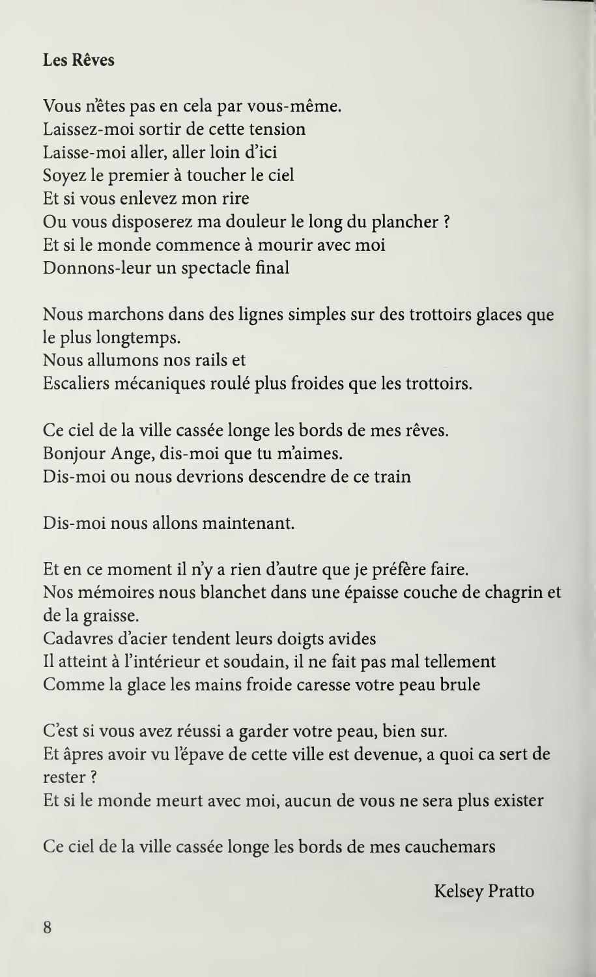## Les Rêves

Vous n'êtes pas en cela par vous-même. Laissez-moi sortir de cette tension Laisse-moi aller, aller loin d'ici Soyez le premier à toucher le ciel Et si vous enlevez mon rire Ou vous disposerez ma douleur le long du plancher ? Et si le monde commence à mourir avec moi Donnons-leur un spectacle final

Nous marchons dans des lignes simples sur des trottoirs glaces que le plus longtemps. Nous allumons nos rails et Escaliers mécaniques roulé plus froides que les trottoirs.

Ce ciel de la ville cassée longe les bords de mes rêves. Bonjour Ange, dis-moi que tu m'aimes. Dis-moi ou nous devrions descendre de ce train

Dis-moi nous allons maintenant.

Et en ce moment il n'y a rien d'autre que je préfère faire. Nos mémoires nous blanchet dans une épaisse couche de chagrin et de la graisse.

Cadavres d'acier tendent leurs doigts avides

Il atteint à l'intérieur et soudain, il ne fait pas mal tellement

Comme la glace les mains froide caresse votre peau brule

C'est si vous avez réussi a garder votre peau, bien sur. Et âpres avoir vu l'épave de cette ville est devenue, a quoi ca sert de rester ?

Et si le monde meurt avec moi, aucun de vous ne sera plus exister

Ce ciel de la ville cassée longe les bords de mes cauchemars

Kelsey Pratto